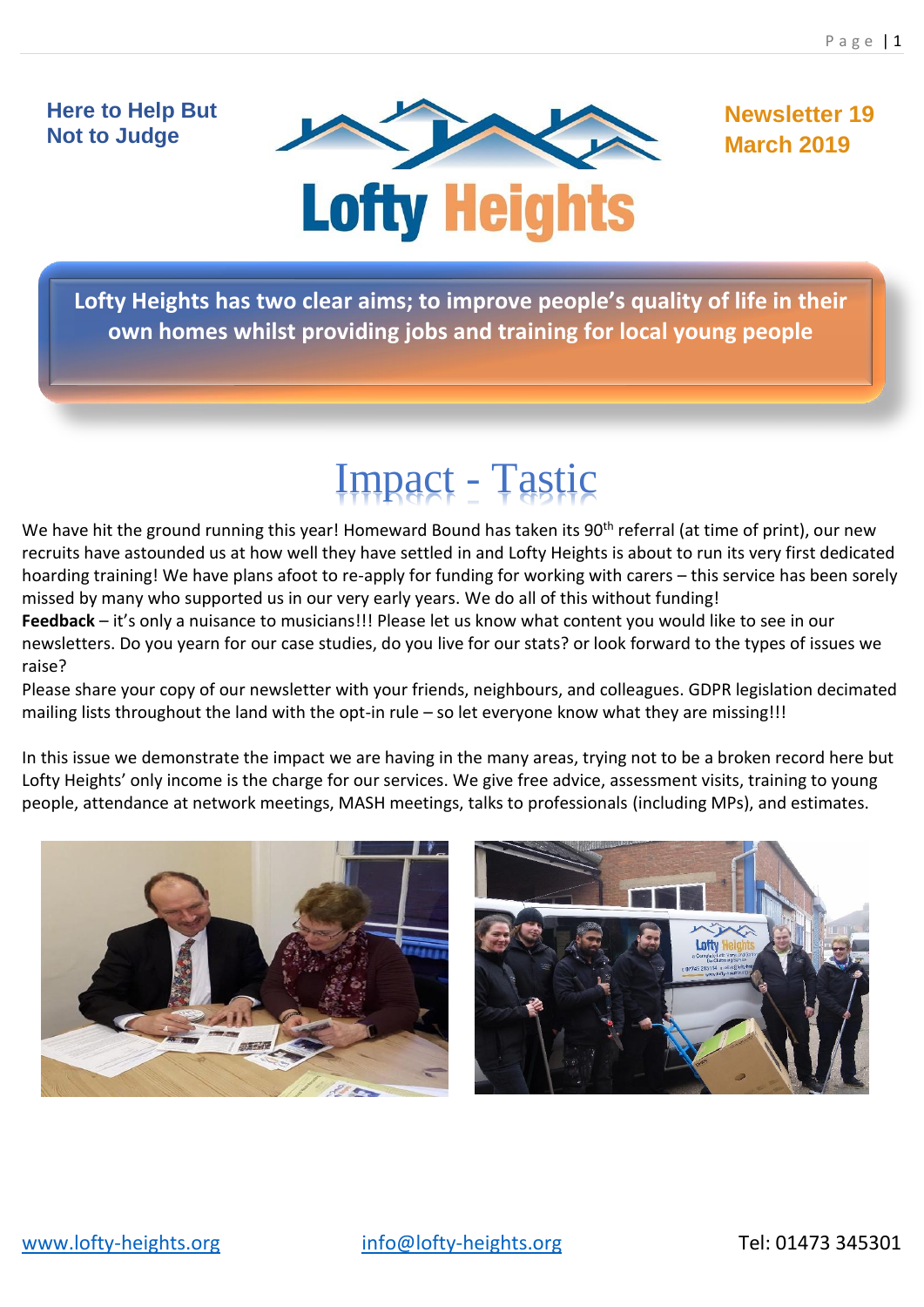# **Here to Help But Not to Judge**



**Newsletter 19 March 2019**

**Lofty Heights has two clear aims; to improve people's quality of life in their own homes whilst providing jobs and training for local young people**

# Impact - Tastic

We have hit the ground running this year! Homeward Bound has taken its 90<sup>th</sup> referral (at time of print), our new recruits have astounded us at how well they have settled in and Lofty Heights is about to run its very first dedicated hoarding training! We have plans afoot to re-apply for funding for working with carers – this service has been sorely missed by many who supported us in our very early years. We do all of this without funding!

**Feedback** – it's only a nuisance to musicians!!! Please let us know what content you would like to see in our newsletters. Do you yearn for our case studies, do you live for our stats? or look forward to the types of issues we raise?

Please share your copy of our newsletter with your friends, neighbours, and colleagues. GDPR legislation decimated mailing lists throughout the land with the opt-in rule – so let everyone know what they are missing!!!

In this issue we demonstrate the impact we are having in the many areas, trying not to be a broken record here but Lofty Heights' only income is the charge for our services. We give free advice, assessment visits, training to young people, attendance at network meetings, MASH meetings, talks to professionals (including MPs), and estimates.

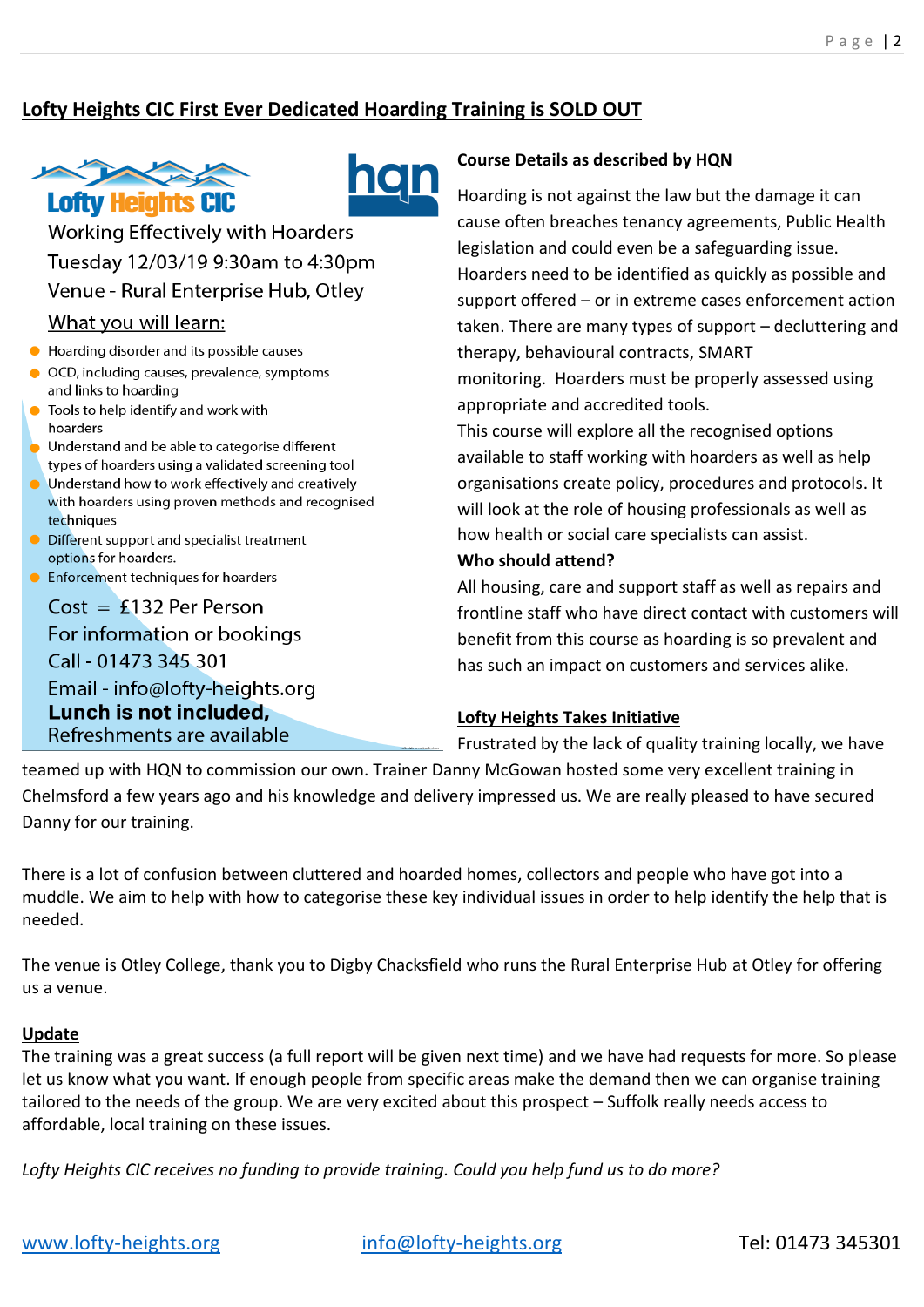# **Lofty Heights CIC First Ever Dedicated Hoarding Training is SOLD OUT**





**Working Effectively with Hoarders** Tuesday 12/03/19 9:30am to 4:30pm Venue - Rural Enterprise Hub, Otley What you will learn:

# Hoarding disorder and its possible causes

- OCD, including causes, prevalence, symptoms
- and links to hoarding Tools to help identify and work with
- hoarders
- Understand and be able to categorise different types of hoarders using a validated screening tool
- Understand how to work effectively and creatively with hoarders using proven methods and recognised techniques
- Different support and specialist treatment options for hoarders.
- Enforcement techniques for hoarders

 $Cost = £132$  Per Person For information or bookings Call - 01473 345 301 Email - info@lofty-heights.org Lunch is not included, Refreshments are available

#### **Course Details as described by HQN**

Hoarding is not against the law but the damage it can cause often breaches tenancy agreements, Public Health legislation and could even be a safeguarding issue. Hoarders need to be identified as quickly as possible and support offered – or in extreme cases enforcement action taken. There are many types of support – decluttering and therapy, behavioural contracts, SMART monitoring. Hoarders must be properly assessed using appropriate and accredited tools. This course will explore all the recognised options

available to staff working with hoarders as well as help organisations create policy, procedures and protocols. It will look at the role of housing professionals as well as how health or social care specialists can assist.

#### **Who should attend?**

All housing, care and support staff as well as repairs and frontline staff who have direct contact with customers will benefit from this course as hoarding is so prevalent and has such an impact on customers and services alike.

#### **Lofty Heights Takes Initiative**

Frustrated by the lack of quality training locally, we have

teamed up with HQN to commission our own. Trainer Danny McGowan hosted some very excellent training in Chelmsford a few years ago and his knowledge and delivery impressed us. We are really pleased to have secured Danny for our training.

There is a lot of confusion between cluttered and hoarded homes, collectors and people who have got into a muddle. We aim to help with how to categorise these key individual issues in order to help identify the help that is needed.

The venue is Otley College, thank you to Digby Chacksfield who runs the Rural Enterprise Hub at Otley for offering us a venue.

#### **Update**

The training was a great success (a full report will be given next time) and we have had requests for more. So please let us know what you want. If enough people from specific areas make the demand then we can organise training tailored to the needs of the group. We are very excited about this prospect – Suffolk really needs access to affordable, local training on these issues.

*Lofty Heights CIC receives no funding to provide training. Could you help fund us to do more?*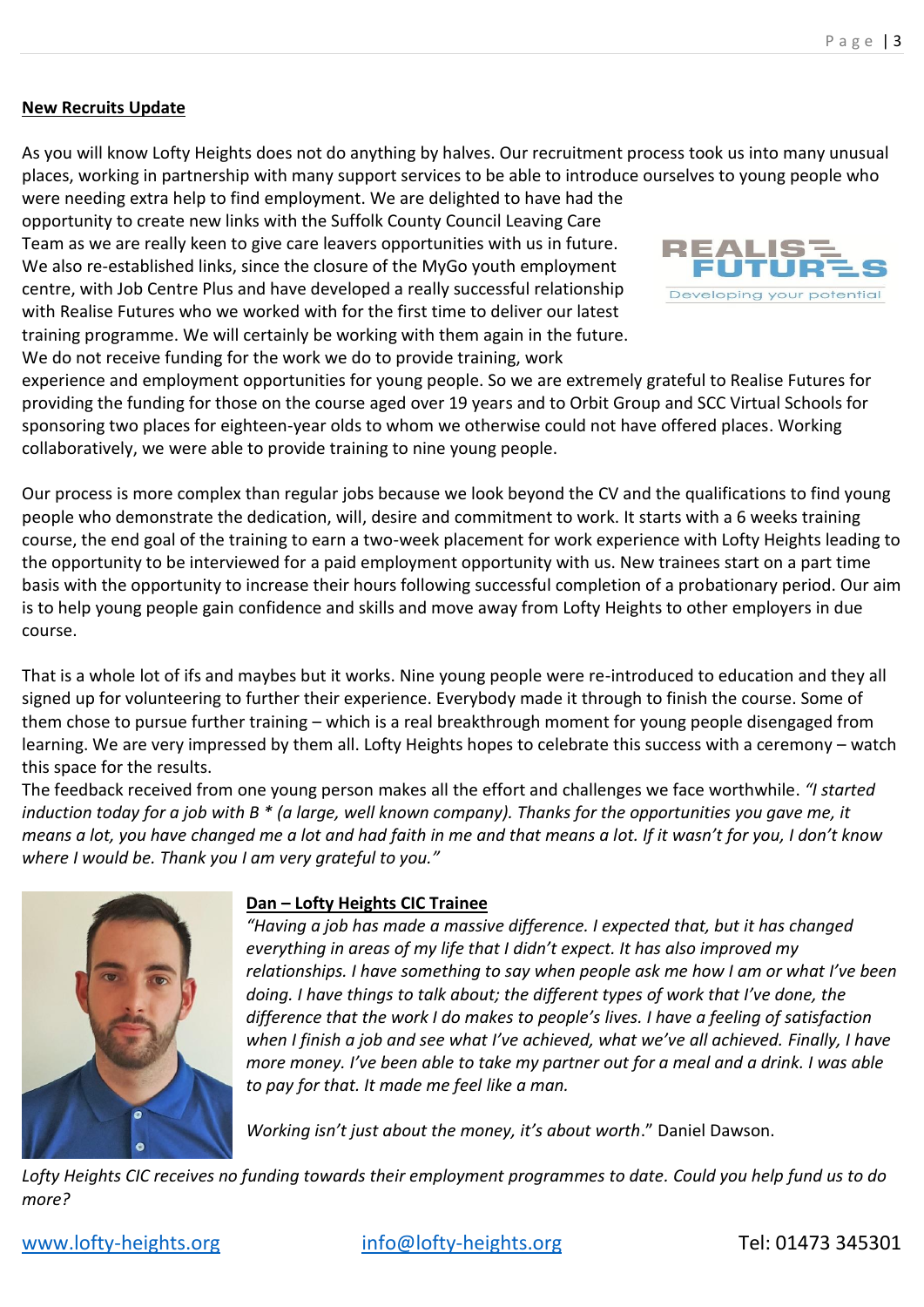#### **New Recruits Update**

As you will know Lofty Heights does not do anything by halves. Our recruitment process took us into many unusual places, working in partnership with many support services to be able to introduce ourselves to young people who

were needing extra help to find employment. We are delighted to have had the opportunity to create new links with the Suffolk County Council Leaving Care Team as we are really keen to give care leavers opportunities with us in future. We also re-established links, since the closure of the MyGo youth employment centre, with Job Centre Plus and have developed a really successful relationship with Realise Futures who we worked with for the first time to deliver our latest training programme. We will certainly be working with them again in the future. We do not receive funding for the work we do to provide training, work



experience and employment opportunities for young people. So we are extremely grateful to Realise Futures for providing the funding for those on the course aged over 19 years and to Orbit Group and SCC Virtual Schools for sponsoring two places for eighteen-year olds to whom we otherwise could not have offered places. Working collaboratively, we were able to provide training to nine young people.

Our process is more complex than regular jobs because we look beyond the CV and the qualifications to find young people who demonstrate the dedication, will, desire and commitment to work. It starts with a 6 weeks training course, the end goal of the training to earn a two-week placement for work experience with Lofty Heights leading to the opportunity to be interviewed for a paid employment opportunity with us. New trainees start on a part time basis with the opportunity to increase their hours following successful completion of a probationary period. Our aim is to help young people gain confidence and skills and move away from Lofty Heights to other employers in due course.

That is a whole lot of ifs and maybes but it works. Nine young people were re-introduced to education and they all signed up for volunteering to further their experience. Everybody made it through to finish the course. Some of them chose to pursue further training – which is a real breakthrough moment for young people disengaged from learning. We are very impressed by them all. Lofty Heights hopes to celebrate this success with a ceremony – watch this space for the results.

The feedback received from one young person makes all the effort and challenges we face worthwhile. *"I started induction today for a job with B \* (a large, well known company). Thanks for the opportunities you gave me, it means a lot, you have changed me a lot and had faith in me and that means a lot. If it wasn't for you, I don't know where I would be. Thank you I am very grateful to you."*



#### **Dan – Lofty Heights CIC Trainee**

*"Having a job has made a massive difference. I expected that, but it has changed everything in areas of my life that I didn't expect. It has also improved my relationships. I have something to say when people ask me how I am or what I've been doing. I have things to talk about; the different types of work that I've done, the difference that the work I do makes to people's lives. I have a feeling of satisfaction when I finish a job and see what I've achieved, what we've all achieved. Finally, I have more money. I've been able to take my partner out for a meal and a drink. I was able to pay for that. It made me feel like a man.*

*Working isn't just about the money, it's about worth*." Daniel Dawson.

*Lofty Heights CIC receives no funding towards their employment programmes to date. Could you help fund us to do more?*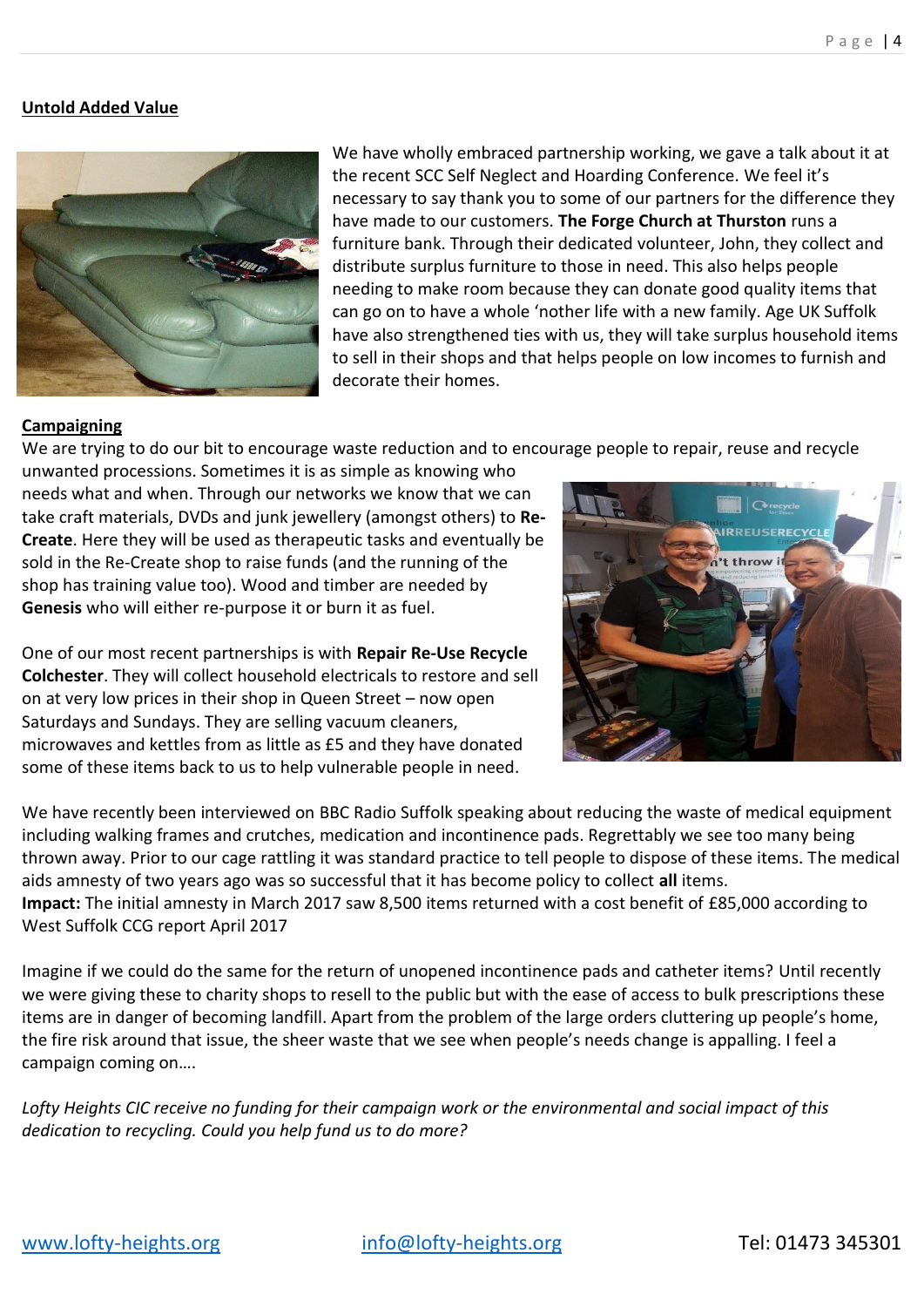## **Untold Added Value**



We have wholly embraced partnership working, we gave a talk about it at the recent SCC Self Neglect and Hoarding Conference. We feel it's necessary to say thank you to some of our partners for the difference they have made to our customers. **The Forge Church at Thurston** runs a furniture bank. Through their dedicated volunteer, John, they collect and distribute surplus furniture to those in need. This also helps people needing to make room because they can donate good quality items that can go on to have a whole 'nother life with a new family. Age UK Suffolk have also strengthened ties with us, they will take surplus household items to sell in their shops and that helps people on low incomes to furnish and decorate their homes.

#### **Campaigning**

We are trying to do our bit to encourage waste reduction and to encourage people to repair, reuse and recycle

unwanted processions. Sometimes it is as simple as knowing who needs what and when. Through our networks we know that we can take craft materials, DVDs and junk jewellery (amongst others) to **Re-Create**. Here they will be used as therapeutic tasks and eventually be sold in the Re-Create shop to raise funds (and the running of the shop has training value too). Wood and timber are needed by **Genesis** who will either re-purpose it or burn it as fuel.

One of our most recent partnerships is with **Repair Re-Use Recycle Colchester**. They will collect household electricals to restore and sell on at very low prices in their shop in Queen Street – now open Saturdays and Sundays. They are selling vacuum cleaners, microwaves and kettles from as little as £5 and they have donated some of these items back to us to help vulnerable people in need.



We have recently been interviewed on BBC Radio Suffolk speaking about reducing the waste of medical equipment including walking frames and crutches, medication and incontinence pads. Regrettably we see too many being thrown away. Prior to our cage rattling it was standard practice to tell people to dispose of these items. The medical aids amnesty of two years ago was so successful that it has become policy to collect **all** items. **Impact:** The initial amnesty in March 2017 saw 8,500 items returned with a cost benefit of £85,000 according to West Suffolk CCG report April 2017

Imagine if we could do the same for the return of unopened incontinence pads and catheter items? Until recently we were giving these to charity shops to resell to the public but with the ease of access to bulk prescriptions these items are in danger of becoming landfill. Apart from the problem of the large orders cluttering up people's home, the fire risk around that issue, the sheer waste that we see when people's needs change is appalling. I feel a campaign coming on….

*Lofty Heights CIC receive no funding for their campaign work or the environmental and social impact of this dedication to recycling. Could you help fund us to do more?*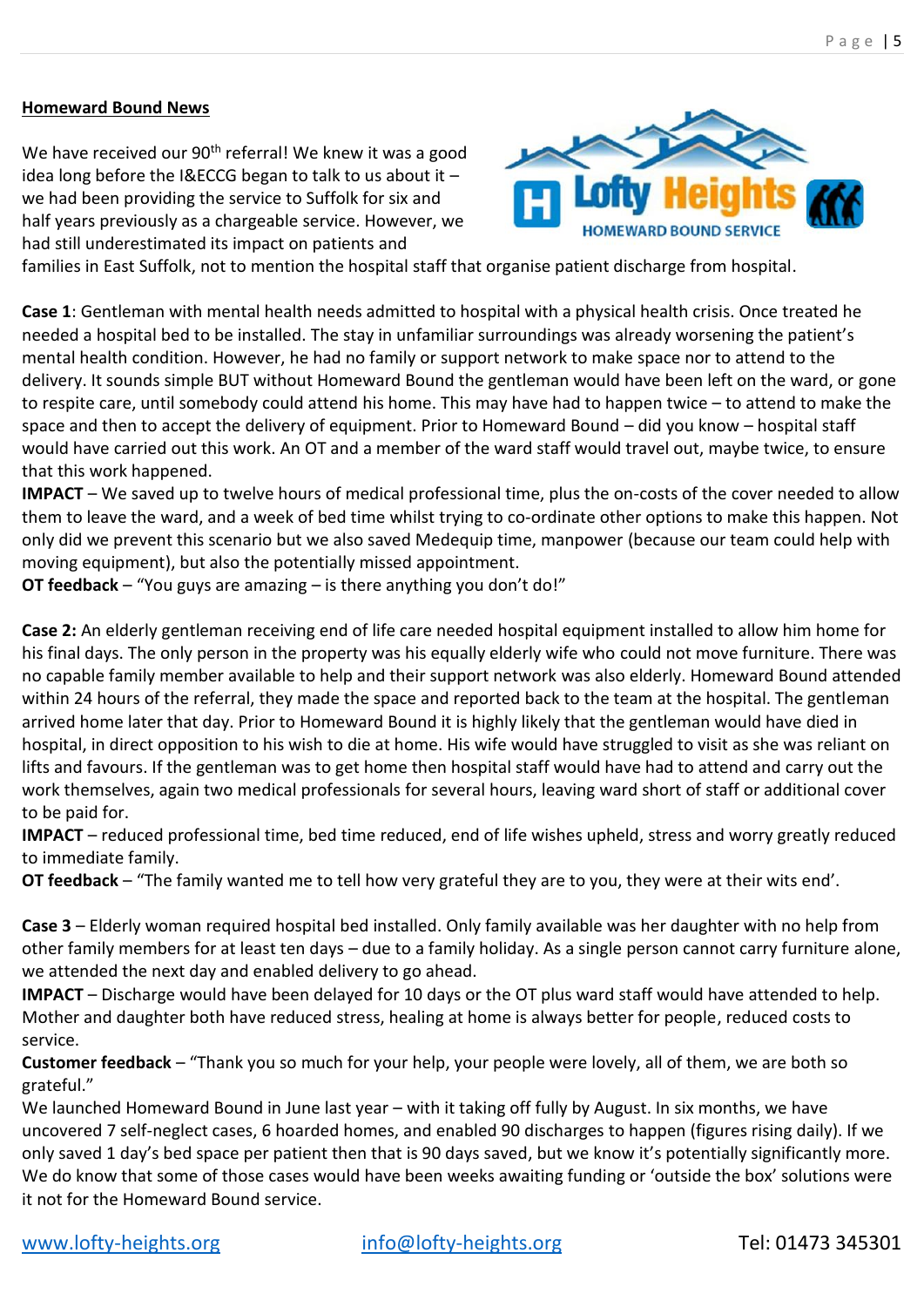## **Homeward Bound News**

We have received our 90<sup>th</sup> referral! We knew it was a good idea long before the I&ECCG began to talk to us about it – we had been providing the service to Suffolk for six and half years previously as a chargeable service. However, we had still underestimated its impact on patients and



families in East Suffolk, not to mention the hospital staff that organise patient discharge from hospital.

**Case 1**: Gentleman with mental health needs admitted to hospital with a physical health crisis. Once treated he needed a hospital bed to be installed. The stay in unfamiliar surroundings was already worsening the patient's mental health condition. However, he had no family or support network to make space nor to attend to the delivery. It sounds simple BUT without Homeward Bound the gentleman would have been left on the ward, or gone to respite care, until somebody could attend his home. This may have had to happen twice – to attend to make the space and then to accept the delivery of equipment. Prior to Homeward Bound – did you know – hospital staff would have carried out this work. An OT and a member of the ward staff would travel out, maybe twice, to ensure that this work happened.

**IMPACT** – We saved up to twelve hours of medical professional time, plus the on-costs of the cover needed to allow them to leave the ward, and a week of bed time whilst trying to co-ordinate other options to make this happen. Not only did we prevent this scenario but we also saved Medequip time, manpower (because our team could help with moving equipment), but also the potentially missed appointment.

**OT feedback** – "You guys are amazing – is there anything you don't do!"

**Case 2:** An elderly gentleman receiving end of life care needed hospital equipment installed to allow him home for his final days. The only person in the property was his equally elderly wife who could not move furniture. There was no capable family member available to help and their support network was also elderly. Homeward Bound attended within 24 hours of the referral, they made the space and reported back to the team at the hospital. The gentleman arrived home later that day. Prior to Homeward Bound it is highly likely that the gentleman would have died in hospital, in direct opposition to his wish to die at home. His wife would have struggled to visit as she was reliant on lifts and favours. If the gentleman was to get home then hospital staff would have had to attend and carry out the work themselves, again two medical professionals for several hours, leaving ward short of staff or additional cover to be paid for.

**IMPACT** – reduced professional time, bed time reduced, end of life wishes upheld, stress and worry greatly reduced to immediate family.

**OT feedback** – "The family wanted me to tell how very grateful they are to you, they were at their wits end'.

**Case 3** – Elderly woman required hospital bed installed. Only family available was her daughter with no help from other family members for at least ten days – due to a family holiday. As a single person cannot carry furniture alone, we attended the next day and enabled delivery to go ahead.

**IMPACT** – Discharge would have been delayed for 10 days or the OT plus ward staff would have attended to help. Mother and daughter both have reduced stress, healing at home is always better for people, reduced costs to service.

**Customer feedback** – "Thank you so much for your help, your people were lovely, all of them, we are both so grateful."

We launched Homeward Bound in June last year – with it taking off fully by August. In six months, we have uncovered 7 self-neglect cases, 6 hoarded homes, and enabled 90 discharges to happen (figures rising daily). If we only saved 1 day's bed space per patient then that is 90 days saved, but we know it's potentially significantly more. We do know that some of those cases would have been weeks awaiting funding or 'outside the box' solutions were it not for the Homeward Bound service.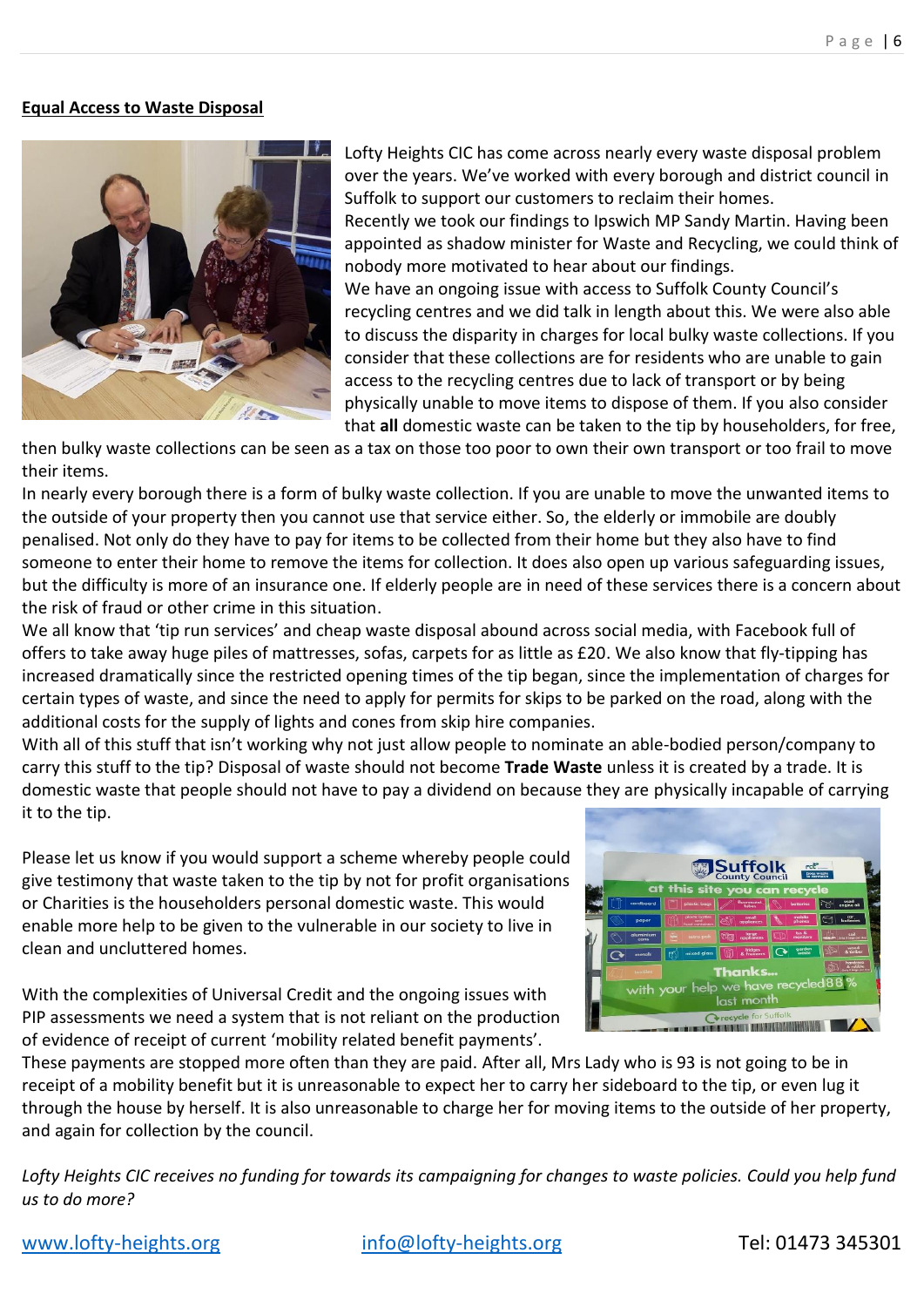### **Equal Access to Waste Disposal**



Lofty Heights CIC has come across nearly every waste disposal problem over the years. We've worked with every borough and district council in Suffolk to support our customers to reclaim their homes. Recently we took our findings to Ipswich MP Sandy Martin. Having been appointed as shadow minister for Waste and Recycling, we could think of nobody more motivated to hear about our findings. We have an ongoing issue with access to Suffolk County Council's recycling centres and we did talk in length about this. We were also able to discuss the disparity in charges for local bulky waste collections. If you consider that these collections are for residents who are unable to gain access to the recycling centres due to lack of transport or by being physically unable to move items to dispose of them. If you also consider that **all** domestic waste can be taken to the tip by householders, for free,

then bulky waste collections can be seen as a tax on those too poor to own their own transport or too frail to move their items.

In nearly every borough there is a form of bulky waste collection. If you are unable to move the unwanted items to the outside of your property then you cannot use that service either. So, the elderly or immobile are doubly penalised. Not only do they have to pay for items to be collected from their home but they also have to find someone to enter their home to remove the items for collection. It does also open up various safeguarding issues, but the difficulty is more of an insurance one. If elderly people are in need of these services there is a concern about the risk of fraud or other crime in this situation.

We all know that 'tip run services' and cheap waste disposal abound across social media, with Facebook full of offers to take away huge piles of mattresses, sofas, carpets for as little as £20. We also know that fly-tipping has increased dramatically since the restricted opening times of the tip began, since the implementation of charges for certain types of waste, and since the need to apply for permits for skips to be parked on the road, along with the additional costs for the supply of lights and cones from skip hire companies.

With all of this stuff that isn't working why not just allow people to nominate an able-bodied person/company to carry this stuff to the tip? Disposal of waste should not become **Trade Waste** unless it is created by a trade. It is domestic waste that people should not have to pay a dividend on because they are physically incapable of carrying it to the tip.

Please let us know if you would support a scheme whereby people could give testimony that waste taken to the tip by not for profit organisations or Charities is the householders personal domestic waste. This would enable more help to be given to the vulnerable in our society to live in clean and uncluttered homes.

With the complexities of Universal Credit and the ongoing issues with PIP assessments we need a system that is not reliant on the production of evidence of receipt of current 'mobility related benefit payments'.



These payments are stopped more often than they are paid. After all, Mrs Lady who is 93 is not going to be in receipt of a mobility benefit but it is unreasonable to expect her to carry her sideboard to the tip, or even lug it through the house by herself. It is also unreasonable to charge her for moving items to the outside of her property, and again for collection by the council.

*Lofty Heights CIC receives no funding for towards its campaigning for changes to waste policies. Could you help fund us to do more?*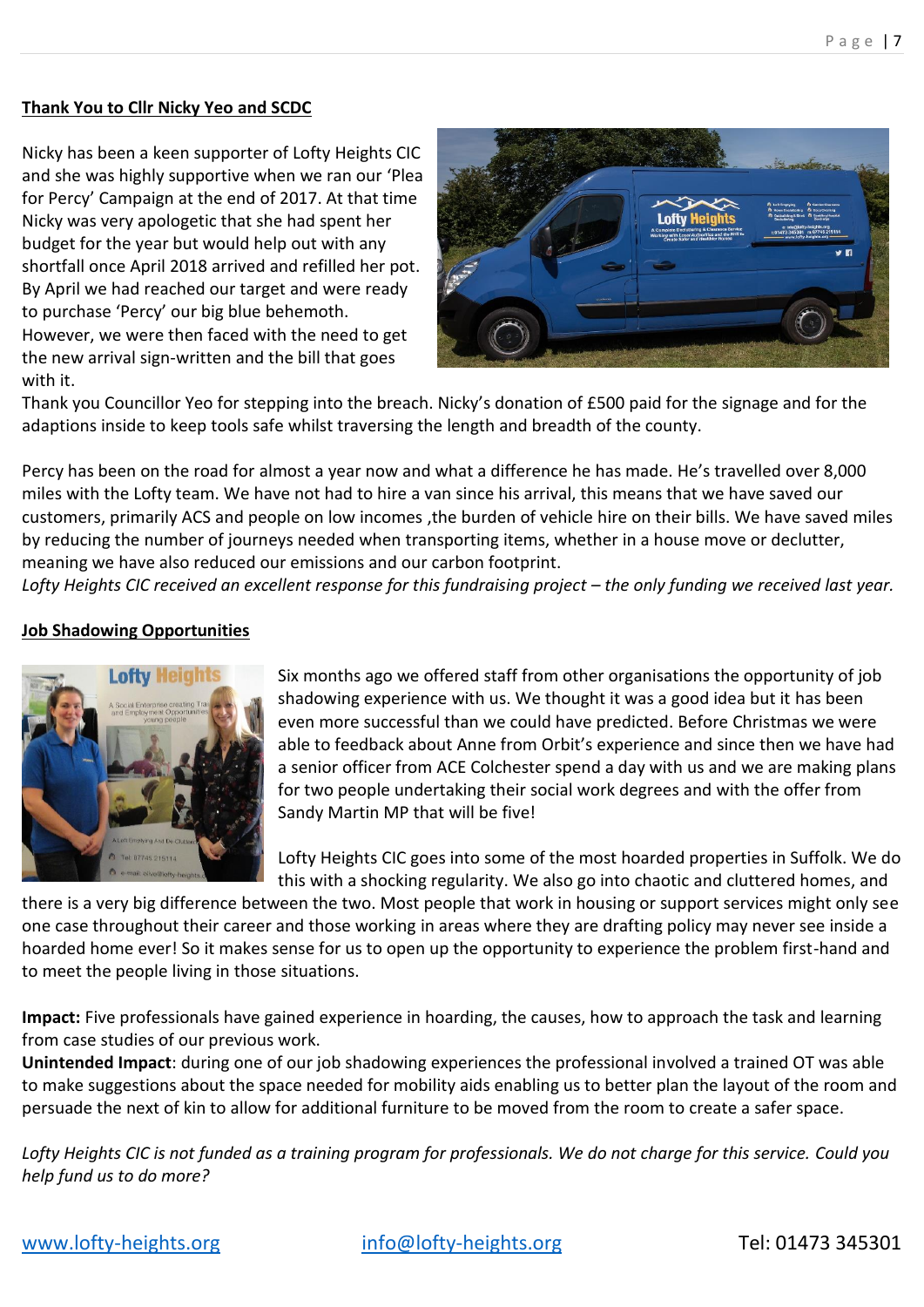## **Thank You to Cllr Nicky Yeo and SCDC**

Nicky has been a keen supporter of Lofty Heights CIC and she was highly supportive when we ran our 'Plea for Percy' Campaign at the end of 2017. At that time Nicky was very apologetic that she had spent her budget for the year but would help out with any shortfall once April 2018 arrived and refilled her pot. By April we had reached our target and were ready to purchase 'Percy' our big blue behemoth. However, we were then faced with the need to get the new arrival sign-written and the bill that goes with it.



Thank you Councillor Yeo for stepping into the breach. Nicky's donation of £500 paid for the signage and for the adaptions inside to keep tools safe whilst traversing the length and breadth of the county.

Percy has been on the road for almost a year now and what a difference he has made. He's travelled over 8,000 miles with the Lofty team. We have not had to hire a van since his arrival, this means that we have saved our customers, primarily ACS and people on low incomes ,the burden of vehicle hire on their bills. We have saved miles by reducing the number of journeys needed when transporting items, whether in a house move or declutter, meaning we have also reduced our emissions and our carbon footprint.

Lofty Heights CIC received an excellent response for this fundraising project – the only funding we received last year.

## **Job Shadowing Opportunities**



Six months ago we offered staff from other organisations the opportunity of job shadowing experience with us. We thought it was a good idea but it has been even more successful than we could have predicted. Before Christmas we were able to feedback about Anne from Orbit's experience and since then we have had a senior officer from ACE Colchester spend a day with us and we are making plans for two people undertaking their social work degrees and with the offer from Sandy Martin MP that will be five!

Lofty Heights CIC goes into some of the most hoarded properties in Suffolk. We do this with a shocking regularity. We also go into chaotic and cluttered homes, and

there is a very big difference between the two. Most people that work in housing or support services might only see one case throughout their career and those working in areas where they are drafting policy may never see inside a hoarded home ever! So it makes sense for us to open up the opportunity to experience the problem first-hand and to meet the people living in those situations.

**Impact:** Five professionals have gained experience in hoarding, the causes, how to approach the task and learning from case studies of our previous work.

**Unintended Impact**: during one of our job shadowing experiences the professional involved a trained OT was able to make suggestions about the space needed for mobility aids enabling us to better plan the layout of the room and persuade the next of kin to allow for additional furniture to be moved from the room to create a safer space.

*Lofty Heights CIC is not funded as a training program for professionals. We do not charge for this service. Could you help fund us to do more?*